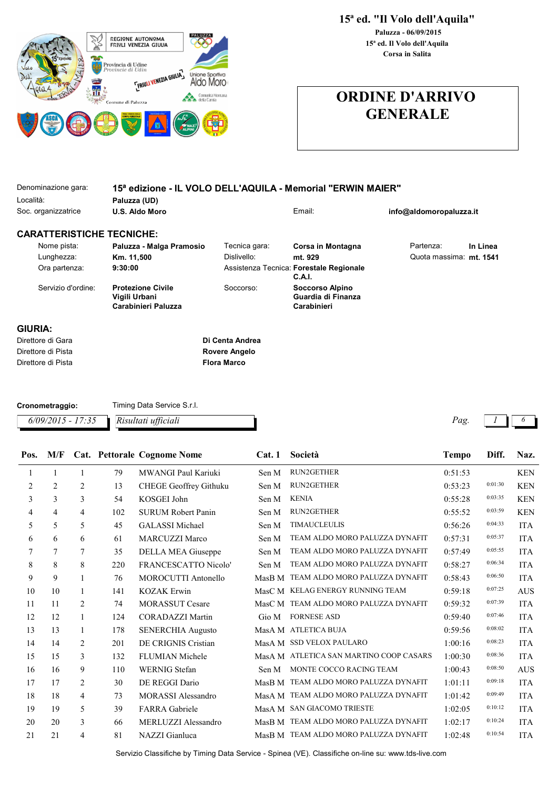

## ORDINE D'ARRIVO GENERALE

| Denominazione gara:              | 15ª edizione - IL VOLO DELL'AQUILA - Memorial "ERWIN MAIER"      |                    |                                                      |                         |          |  |
|----------------------------------|------------------------------------------------------------------|--------------------|------------------------------------------------------|-------------------------|----------|--|
| Località:                        | Paluzza (UD)                                                     |                    |                                                      |                         |          |  |
| Soc. organizzatrice              | U.S. Aldo Moro                                                   |                    | Email:                                               | info@aldomoropaluzza.it |          |  |
| <b>CARATTERISTICHE TECNICHE:</b> |                                                                  |                    |                                                      |                         |          |  |
| Nome pista:                      | Paluzza - Malga Pramosio                                         | Tecnica gara:      | Corsa in Montagna                                    | Partenza:               | In Linea |  |
| Lunghezza:                       | Km. 11,500                                                       | Dislivello:        | mt. 929                                              | Quota massima: mt. 1541 |          |  |
| Ora partenza:                    | 9:30:00                                                          |                    | Assistenza Tecnica: Forestale Regionale<br>C.A.I.    |                         |          |  |
| Servizio d'ordine:               | <b>Protezione Civile</b><br>Vigili Urbani<br>Carabinieri Paluzza | Soccorso:          | Soccorso Alpino<br>Guardia di Finanza<br>Carabinieri |                         |          |  |
| GIURIA:                          |                                                                  |                    |                                                      |                         |          |  |
| Direttore di Gara                |                                                                  | Di Centa Andrea    |                                                      |                         |          |  |
| Direttore di Pista               |                                                                  | Rovere Angelo      |                                                      |                         |          |  |
| Direttore di Pista               |                                                                  | <b>Flora Marco</b> |                                                      |                         |          |  |

| Cronometraggio:                         | Timing Data Service S.r.l. |     |  |
|-----------------------------------------|----------------------------|-----|--|
| $6/09/2015 - 17:35$ Risultati ufficiali |                            | Pag |  |

| Pos. | M/F |                |     | Cat. Pettorale Cognome Nome | Cat.1  | Società                                 | <b>Tempo</b> | Diff.   | Naz.                             |
|------|-----|----------------|-----|-----------------------------|--------|-----------------------------------------|--------------|---------|----------------------------------|
| 1    | 1   | $\mathbf{1}$   | 79  | MWANGI Paul Kariuki         | Sen M  | <b>RUN2GETHER</b>                       | 0:51:53      |         | <b>KEN</b>                       |
| 2    | 2   | $\overline{2}$ | 13  | CHEGE Geoffrey Githuku      | Sen M  | RUN2GETHER                              | 0:53:23      | 0:01:30 | <b>KEN</b>                       |
| 3    | 3   | 3              | 54  | KOSGEI John                 | Sen M  | <b>KENIA</b>                            | 0:55:28      | 0:03:35 | <b>KEN</b>                       |
| 4    | 4   | 4              | 102 | <b>SURUM Robert Panin</b>   | Sen M  | <b>RUN2GETHER</b>                       | 0:55:52      | 0:03:59 | <b>KEN</b>                       |
| 5    | 5   | 5              | 45  | <b>GALASSI</b> Michael      | Sen M  | <b>TIMAUCLEULIS</b>                     | 0:56:26      | 0:04:33 | <b>ITA</b>                       |
| 6    | 6   | 6              | 61  | <b>MARCUZZI Marco</b>       | Sen M  | TEAM ALDO MORO PALUZZA DYNAFIT          | 0:57:31      | 0:05:37 | <b>ITA</b>                       |
| 7    | 7   | 7              | 35  | DELLA MEA Giuseppe          | Sen M  | TEAM ALDO MORO PALUZZA DYNAFIT          | 0:57:49      | 0:05:55 | <b>ITA</b>                       |
| 8    | 8   | 8              | 220 | <b>FRANCESCATTO Nicolo'</b> | Sen M  | TEAM ALDO MORO PALUZZA DYNAFIT          | 0:58:27      | 0:06:34 | <b>ITA</b>                       |
| 9    | 9   | 1              | 76  | <b>MOROCUTTI Antonello</b>  | MasB M | TEAM ALDO MORO PALUZZA DYNAFIT          | 0:58:43      | 0:06:50 | <b>ITA</b>                       |
| 10   | 10  | 1              | 141 | <b>KOZAK Erwin</b>          |        | MasC M KELAG ENERGY RUNNING TEAM        | 0:59:18      | 0:07:25 | <b>AUS</b>                       |
| 11   | 11  | 2              | 74  | <b>MORASSUT Cesare</b>      |        | MasC M TEAM ALDO MORO PALUZZA DYNAFIT   | 0:59:32      | 0:07:39 | <b>ITA</b>                       |
| 12   | 12  | $\mathbf{1}$   | 124 | <b>CORADAZZI Martin</b>     | Gio M  | <b>FORNESE ASD</b>                      | 0:59:40      | 0:07:46 | <b>ITA</b>                       |
| 13   | 13  | 1              | 178 | <b>SENERCHIA Augusto</b>    |        | MasA M ATLETICA BUJA                    | 0:59:56      | 0:08:02 | <b>ITA</b>                       |
| 14   | 14  | 2              | 201 | DE CRIGNIS Cristian         |        | MasA M SSD VELOX PAULARO                | 1:00:16      | 0:08:23 | <b>ITA</b>                       |
| 15   | 15  | 3              | 132 | <b>FLUMIAN Michele</b>      |        | MasA M ATLETICA SAN MARTINO COOP CASARS | 1:00:30      | 0:08:36 | <b>ITA</b>                       |
| 16   | 16  | 9              | 110 | <b>WERNIG</b> Stefan        | Sen M  | MONTE COCCO RACING TEAM                 | 1:00:43      | 0:08:50 | $\mathbf{A}\mathbf{U}\mathbf{S}$ |
| 17   | 17  | 2              | 30  | DE REGGI Dario              |        | MasB M TEAM ALDO MORO PALUZZA DYNAFIT   | 1:01:11      | 0:09:18 | <b>ITA</b>                       |
| 18   | 18  | $\overline{4}$ | 73  | <b>MORASSI</b> Alessandro   |        | MasA M TEAM ALDO MORO PALUZZA DYNAFIT   | 1:01:42      | 0:09:49 | <b>ITA</b>                       |
| 19   | 19  | 5              | 39  | <b>FARRA</b> Gabriele       | MasA M | <b>SAN GIACOMO TRIESTE</b>              | 1:02:05      | 0:10:12 | <b>ITA</b>                       |
| 20   | 20  | 3              | 66  | MERLUZZI Alessandro         |        | MasB M TEAM ALDO MORO PALUZZA DYNAFIT   | 1:02:17      | 0:10:24 | <b>ITA</b>                       |
| 21   | 21  | 4              | 81  | NAZZI Gianluca              |        | MasB M TEAM ALDO MORO PALUZZA DYNAFIT   | 1:02:48      | 0:10:54 | <b>ITA</b>                       |
|      |     |                |     |                             |        |                                         |              |         |                                  |

Servizio Classifiche by Timing Data Service - Spinea (VE). Classifiche on-line su: www.tds-live.com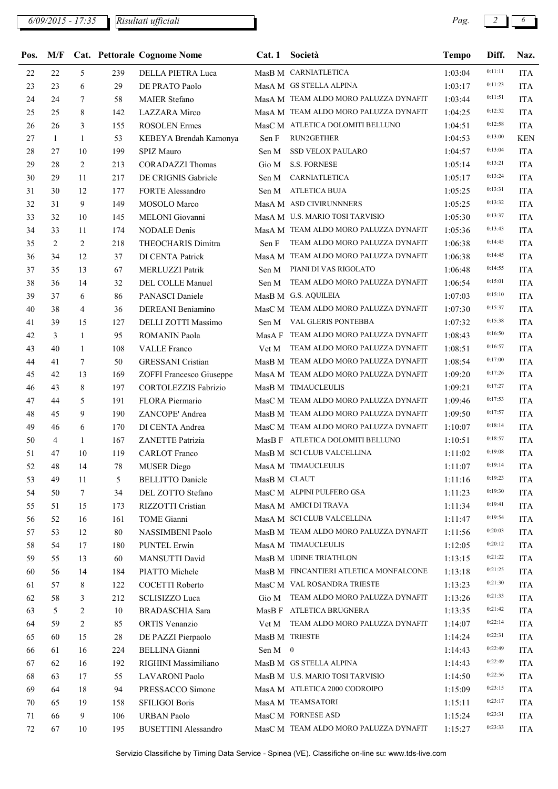| Pos. | M/F |              |     | <b>Cat. Pettorale Cognome Nome</b> | Cat.1        | Società                                                      | <b>Tempo</b> | Diff.   | Naz.       |
|------|-----|--------------|-----|------------------------------------|--------------|--------------------------------------------------------------|--------------|---------|------------|
| 22   | 22  | 5            | 239 | DELLA PIETRA Luca                  |              | MasB M CARNIATLETICA                                         | 1:03:04      | 0:11:11 | <b>ITA</b> |
| 23   | 23  | 6            | 29  | DE PRATO Paolo                     |              | MasA M GS STELLA ALPINA                                      | 1:03:17      | 0:11:23 | <b>ITA</b> |
| 24   | 24  | 7            | 58  | <b>MAIER Stefano</b>               |              | MasA M TEAM ALDO MORO PALUZZA DYNAFIT                        | 1:03:44      | 0:11:51 | <b>ITA</b> |
| 25   | 25  | 8            | 142 | LAZZARA Mirco                      |              | MasA M TEAM ALDO MORO PALUZZA DYNAFIT                        | 1:04:25      | 0:12:32 | <b>ITA</b> |
| 26   | 26  | 3            | 155 | <b>ROSOLEN</b> Ermes               |              | MasC M ATLETICA DOLOMITI BELLUNO                             | 1:04:51      | 0:12:58 | <b>ITA</b> |
| 27   | 1   | $\mathbf{1}$ | 53  | KEBEYA Brendah Kamonya             | Sen F        | RUN2GETHER                                                   | 1:04:53      | 0:13:00 | <b>KEN</b> |
| 28   | 27  | 10           | 199 | SPIZ Mauro                         | Sen M        | <b>SSD VELOX PAULARO</b>                                     | 1:04:57      | 0:13:04 | <b>ITA</b> |
| 29   | 28  | 2            | 213 | <b>CORADAZZI</b> Thomas            | Gio M        | <b>S.S. FORNESE</b>                                          | 1:05:14      | 0:13:21 | <b>ITA</b> |
| 30   | 29  | 11           | 217 | DE CRIGNIS Gabriele                | Sen M        | CARNIATLETICA                                                | 1:05:17      | 0:13:24 | <b>ITA</b> |
| 31   | 30  | 12           | 177 | FORTE Alessandro                   | Sen M        | <b>ATLETICA BUJA</b>                                         | 1:05:25      | 0:13:31 | <b>ITA</b> |
| 32   | 31  | 9            | 149 | MOSOLO Marco                       |              | MasA M ASD CIVIRUNNNERS                                      | 1:05:25      | 0:13:32 | <b>ITA</b> |
| 33   | 32  | 10           | 145 | MELONI Giovanni                    |              | MasA M U.S. MARIO TOSI TARVISIO                              | 1:05:30      | 0:13:37 | <b>ITA</b> |
| 34   | 33  | 11           | 174 | <b>NODALE</b> Denis                |              | MasA M TEAM ALDO MORO PALUZZA DYNAFIT                        | 1:05:36      | 0:13:43 | <b>ITA</b> |
| 35   | 2   | 2            | 218 | THEOCHARIS Dimitra                 | Sen F        | TEAM ALDO MORO PALUZZA DYNAFIT                               | 1:06:38      | 0:14:45 | <b>ITA</b> |
| 36   | 34  | 12           | 37  | DI CENTA Patrick                   |              | MasA M TEAM ALDO MORO PALUZZA DYNAFIT                        | 1:06:38      | 0:14:45 | <b>ITA</b> |
| 37   | 35  | 13           | 67  | <b>MERLUZZI Patrik</b>             | Sen M        | PIANI DI VAS RIGOLATO                                        | 1:06:48      | 0:14:55 | <b>ITA</b> |
| 38   | 36  | 14           | 32  | DEL COLLE Manuel                   | Sen M        | TEAM ALDO MORO PALUZZA DYNAFIT                               | 1:06:54      | 0:15:01 | <b>ITA</b> |
| 39   | 37  | 6            | 86  | PANASCI Daniele                    |              | MasB M G.S. AQUILEIA                                         | 1:07:03      | 0:15:10 | <b>ITA</b> |
| 40   | 38  | 4            | 36  | DEREANI Beniamino                  |              | MasC M TEAM ALDO MORO PALUZZA DYNAFIT                        | 1:07:30      | 0:15:37 | <b>ITA</b> |
| 41   | 39  | 15           | 127 | DELLI ZOTTI Massimo                | Sen M        | VAL GLERIS PONTEBBA                                          | 1:07:32      | 0:15:38 | <b>ITA</b> |
| 42   | 3   | 1            | 95  | <b>ROMANIN Paola</b>               |              | MasA F TEAM ALDO MORO PALUZZA DYNAFIT                        | 1:08:43      | 0:16:50 | <b>ITA</b> |
| 43   | 40  | $\mathbf{1}$ | 108 | <b>VALLE</b> Franco                | Vet M        | TEAM ALDO MORO PALUZZA DYNAFIT                               | 1:08:51      | 0:16:57 | ITA        |
| 44   | 41  | 7            | 50  | <b>GRESSANI</b> Cristian           |              | MasB M TEAM ALDO MORO PALUZZA DYNAFIT                        | 1:08:54      | 0:17:00 | <b>ITA</b> |
| 45   | 42  | 13           | 169 | ZOFFI Francesco Giuseppe           |              | MasA M TEAM ALDO MORO PALUZZA DYNAFIT                        | 1:09:20      | 0:17:26 | <b>ITA</b> |
| 46   | 43  | 8            | 197 | <b>CORTOLEZZIS Fabrizio</b>        |              | MasB M TIMAUCLEULIS                                          | 1:09:21      | 0:17:27 | <b>ITA</b> |
| 47   | 44  | 5            | 191 | FLORA Piermario                    |              | MasC M TEAM ALDO MORO PALUZZA DYNAFIT                        | 1:09:46      | 0:17:53 | <b>ITA</b> |
| 48   | 45  | 9            | 190 | ZANCOPE' Andrea                    |              | MasB M TEAM ALDO MORO PALUZZA DYNAFIT                        | 1:09:50      | 0:17:57 | <b>ITA</b> |
| 49   | 46  | 6            | 170 | DI CENTA Andrea                    |              | MasC M TEAM ALDO MORO PALUZZA DYNAFIT                        | 1:10:07      | 0:18:14 | <b>ITA</b> |
| 50   | 4   | $\mathbf{1}$ | 167 | ZANETTE Patrizia                   |              | MasB F ATLETICA DOLOMITI BELLUNO                             | 1:10:51      | 0:18:57 | <b>ITA</b> |
| 51   | 47  | 10           | 119 | <b>CARLOT</b> Franco               |              | MasB M SCI CLUB VALCELLINA                                   | 1:11:02      | 0:19:08 | <b>ITA</b> |
|      | 48  |              | 78  |                                    |              | MasA M TIMAUCLEULIS                                          | 1:11:07      | 0:19:14 | <b>ITA</b> |
| 52   |     | 14           |     | <b>MUSER</b> Diego                 |              |                                                              |              | 0:19:23 |            |
| 53   | 49  | 11           | 5   | <b>BELLITTO</b> Daniele            | MasB M CLAUT |                                                              | 1:11:16      | 0:19:30 | <b>ITA</b> |
| 54   | 50  | $\tau$       | 34  | DEL ZOTTO Stefano                  |              | MasC M ALPINI PULFERO GSA<br>MasA M AMICI DI TRAVA           | 1:11:23      | 0:19:41 | <b>ITA</b> |
| 55   | 51  | 15           | 173 | RIZZOTTI Cristian                  |              | MasA M SCI CLUB VALCELLINA                                   | 1:11:34      | 0:19:54 | <b>ITA</b> |
| 56   | 52  | 16           | 161 | TOME Gianni                        |              |                                                              | 1:11:47      | 0:20:03 | <b>ITA</b> |
| 57   | 53  | 12           | 80  | NASSIMBENI Paolo                   |              | MasB M TEAM ALDO MORO PALUZZA DYNAFIT<br>MasA M TIMAUCLEULIS | 1:11:56      | 0:20:12 | <b>ITA</b> |
| 58   | 54  | 17           | 180 | <b>PUNTEL Erwin</b>                |              |                                                              | 1:12:05      | 0:21:22 | ITA        |
| 59   | 55  | 13           | 60  | MANSUTTI David                     |              | MasB M UDINE TRIATHLON                                       | 1:13:15      | 0:21:25 | <b>ITA</b> |
| 60   | 56  | 14           | 184 | PIATTO Michele                     |              | MasB M FINCANTIERI ATLETICA MONFALCONE                       | 1:13:18      | 0:21:30 | <b>ITA</b> |
| 61   | 57  | 8            | 122 | COCETTI Roberto                    |              | MasC M VAL ROSANDRA TRIESTE                                  | 1:13:23      | 0:21:33 | <b>ITA</b> |
| 62   | 58  | 3            | 212 | SCLISIZZO Luca                     | Gio M        | TEAM ALDO MORO PALUZZA DYNAFIT                               | 1:13:26      | 0:21:42 | <b>ITA</b> |
| 63   | 5   | 2            | 10  | BRADASCHIA Sara                    |              | MasB F ATLETICA BRUGNERA                                     | 1:13:35      |         | <b>ITA</b> |
| 64   | 59  | 2            | 85  | ORTIS Venanzio                     |              | Vet M TEAM ALDO MORO PALUZZA DYNAFIT                         | 1:14:07      | 0:22:14 | ITA        |
| 65   | 60  | 15           | 28  | DE PAZZI Pierpaolo                 |              | MasB M TRIESTE                                               | 1:14:24      | 0:22:31 | <b>ITA</b> |
| 66   | 61  | 16           | 224 | <b>BELLINA</b> Gianni              | Sen M 0      |                                                              | 1:14:43      | 0:22:49 | <b>ITA</b> |
| 67   | 62  | 16           | 192 | RIGHINI Massimiliano               |              | MasB M GS STELLA ALPINA                                      | 1:14:43      | 0:22:49 | <b>ITA</b> |
| 68   | 63  | 17           | 55  | LAVARONI Paolo                     |              | MasB M U.S. MARIO TOSI TARVISIO                              | 1:14:50      | 0:22:56 | <b>ITA</b> |
| 69   | 64  | 18           | 94  | PRESSACCO Simone                   |              | MasA M ATLETICA 2000 CODROIPO                                | 1:15:09      | 0:23:15 | <b>ITA</b> |
| 70   | 65  | 19           | 158 | SFILIGOI Boris                     |              | MasA M TEAMSATORI                                            | 1:15:11      | 0:23:17 | <b>ITA</b> |
| 71   | 66  | 9            | 106 | <b>URBAN Paolo</b>                 |              | MasC M FORNESE ASD                                           | 1:15:24      | 0:23:31 | <b>ITA</b> |
| 72   | 67  | 10           | 195 | <b>BUSETTINI</b> Alessandro        |              | MasC M TEAM ALDO MORO PALUZZA DYNAFIT                        | 1:15:27      | 0:23:33 | ITA        |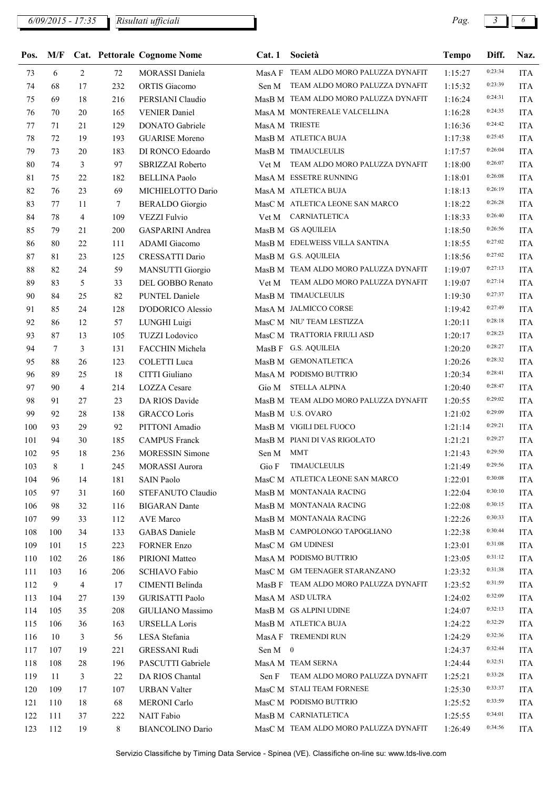| Pos.   | M/F             |                |        | Cat. Pettorale Cognome Nome | Cat.1       | Società                               | <b>Tempo</b> | Diff.   | Naz.       |
|--------|-----------------|----------------|--------|-----------------------------|-------------|---------------------------------------|--------------|---------|------------|
| 73     | 6               | 2              | 72     | MORASSI Daniela             |             | MasA F TEAM ALDO MORO PALUZZA DYNAFIT | 1:15:27      | 0:23:34 | <b>ITA</b> |
| 74     | 68              | 17             | 232    | ORTIS Giacomo               | Sen M       | TEAM ALDO MORO PALUZZA DYNAFIT        | 1:15:32      | 0:23:39 | <b>ITA</b> |
| 75     | 69              | 18             | 216    | PERSIANI Claudio            |             | MasB M TEAM ALDO MORO PALUZZA DYNAFIT | 1:16:24      | 0:24:31 | <b>ITA</b> |
| 76     | 70              | 20             | 165    | <b>VENIER Daniel</b>        |             | MasA M MONTEREALE VALCELLINA          | 1:16:28      | 0:24:35 | <b>ITA</b> |
| $77\,$ | 71              | 21             | 129    | DONATO Gabriele             |             | MasA M TRIESTE                        | 1:16:36      | 0:24:42 | <b>ITA</b> |
| 78     | 72              | 19             | 193    | <b>GUARISE Moreno</b>       |             | MasB M ATLETICA BUJA                  | 1:17:38      | 0:25:45 | <b>ITA</b> |
| 79     | 73              | 20             | 183    | DI RONCO Edoardo            |             | MasB M TIMAUCLEULIS                   | 1:17:57      | 0:26:04 | <b>ITA</b> |
| $80\,$ | 74              | $\mathbf{3}$   | 97     | SBRIZZAI Roberto            |             | Vet M TEAM ALDO MORO PALUZZA DYNAFIT  | 1:18:00      | 0:26:07 | <b>ITA</b> |
| 81     | 75              | 22             | 182    | <b>BELLINA Paolo</b>        |             | MasA M ESSETRE RUNNING                | 1:18:01      | 0:26:08 | <b>ITA</b> |
| 82     | 76              | 23             | 69     | MICHIELOTTO Dario           |             | MasA M ATLETICA BUJA                  | 1:18:13      | 0:26:19 | <b>ITA</b> |
| 83     | 77              | 11             | $\tau$ | <b>BERALDO</b> Giorgio      |             | MasC M ATLETICA LEONE SAN MARCO       | 1:18:22      | 0:26:28 | <b>ITA</b> |
| 84     | 78              | $\overline{4}$ | 109    | <b>VEZZI Fulvio</b>         |             | Vet M CARNIATLETICA                   | 1:18:33      | 0:26:40 | <b>ITA</b> |
| 85     | 79              | 21             | 200    | <b>GASPARINI</b> Andrea     |             | MasB M GS AQUILEIA                    | 1:18:50      | 0:26:56 | <b>ITA</b> |
| 86     | 80              | 22             | 111    | ADAMI Giacomo               |             | MasB M EDELWEISS VILLA SANTINA        | 1:18:55      | 0:27:02 | <b>ITA</b> |
| 87     | 81              | 23             | 125    | CRESSATTI Dario             |             | MasB M G.S. AQUILEIA                  | 1:18:56      | 0:27:02 | <b>ITA</b> |
| $88\,$ | 82              | 24             | 59     | <b>MANSUTTI Giorgio</b>     |             | MasB M TEAM ALDO MORO PALUZZA DYNAFIT | 1:19:07      | 0:27:13 | <b>ITA</b> |
| 89     | 83              | 5              | 33     | DEL GOBBO Renato            |             | Vet M TEAM ALDO MORO PALUZZA DYNAFIT  | 1:19:07      | 0:27:14 | <b>ITA</b> |
| 90     | 84              | 25             | 82     | PUNTEL Daniele              |             | MasB M TIMAUCLEULIS                   | 1:19:30      | 0:27:37 | <b>ITA</b> |
| 91     | 85              | 24             | 128    | D'ODORICO Alessio           |             | MasA M JALMICCO CORSE                 | 1:19:42      | 0:27:49 | <b>ITA</b> |
| 92     | 86              | 12             | 57     | LUNGHI Luigi                |             | MasC M NIU' TEAM LESTIZZA             | 1:20:11      | 0:28:18 | <b>ITA</b> |
| 93     | 87              | 13             | 105    | <b>TUZZI</b> Lodovico       |             | MasC M TRATTORIA FRIULI ASD           | 1:20:17      | 0:28:23 | <b>ITA</b> |
| 94     | $7\phantom{.0}$ | 3              | 131    | FACCHIN Michela             |             | MasB F G.S. AQUILEIA                  | 1:20:20      | 0:28:27 | <b>ITA</b> |
| 95     | 88              | 26             | 123    | COLETTI Luca                |             | MasB M GEMONATLETICA                  | 1:20:26      | 0:28:32 | <b>ITA</b> |
| 96     | 89              | 25             | 18     | CITTI Giuliano              |             | MasA M PODISMO BUTTRIO                | 1:20:34      | 0:28:41 | <b>ITA</b> |
| 97     | 90              | $\overline{4}$ | 214    | LOZZA Cesare                | Gio M       | <b>STELLA ALPINA</b>                  | 1:20:40      | 0:28:47 | <b>ITA</b> |
| 98     | 91              | 27             | 23     | DA RIOS Davide              |             | MasB M TEAM ALDO MORO PALUZZA DYNAFIT | 1:20:55      | 0:29:02 | <b>ITA</b> |
| 99     | 92              | 28             | 138    | <b>GRACCO Loris</b>         |             | MasB M U.S. OVARO                     | 1:21:02      | 0:29:09 | <b>ITA</b> |
| 100    | 93              | 29             | 92     | PITTONI Amadio              |             | MasB M VIGILI DEL FUOCO               | 1:21:14      | 0:29:21 | <b>ITA</b> |
| 101    | 94              | 30             | 185    | <b>CAMPUS Franck</b>        |             | MasB M PIANI DI VAS RIGOLATO          | 1:21:21      | 0:29:27 | <b>ITA</b> |
| 102    | 95              | 18             | 236    | <b>MORESSIN Simone</b>      | Sen M MMT   |                                       | 1:21:43      | 0:29:50 | <b>ITA</b> |
| 103    | 8               | 1              | 245    | <b>MORASSI Aurora</b>       |             | Gio F TIMAUCLEULIS                    | 1:21:49      | 0:29:56 | <b>ITA</b> |
| 104    | 96              | 14             | 181    | <b>SAIN Paolo</b>           |             | MasC M ATLETICA LEONE SAN MARCO       | 1:22:01      | 0:30:08 | <b>ITA</b> |
| 105    | 97              | 31             | 160    | STEFANUTO Claudio           |             | MasB M MONTANAIA RACING               | 1:22:04      | 0:30:10 | <b>ITA</b> |
| 106    | 98              | 32             | 116    | <b>BIGARAN</b> Dante        |             | MasB M MONTANAIA RACING               | 1:22:08      | 0:30:15 | <b>ITA</b> |
| 107    | 99              | 33             | 112    | AVE Marco                   |             | MasB M MONTANAIA RACING               | 1:22:26      | 0:30:33 | <b>ITA</b> |
| 108    | 100             | 34             | 133    | <b>GABAS</b> Daniele        |             | MasB M CAMPOLONGO TAPOGLIANO          | 1:22:38      | 0:30:44 | <b>ITA</b> |
| 109    | 101             | 15             | 223    | <b>FORNER Enzo</b>          |             | MasC M GM UDINESI                     | 1:23:01      | 0:31:08 | <b>ITA</b> |
| 110    | 102             | 26             | 186    | PIRIONI Matteo              |             | MasA M PODISMO BUTTRIO                | 1:23:05      | 0:31:12 | <b>ITA</b> |
| 111    | 103             | 16             | 206    | SCHIAVO Fabio               |             | MasC M GM TEENAGER STARANZANO         | 1:23:32      | 0:31:38 | <b>ITA</b> |
| 112    | 9               | 4              | 17     | CIMENTI Belinda             |             | MasB F TEAM ALDO MORO PALUZZA DYNAFIT | 1:23:52      | 0:31:59 | <b>ITA</b> |
| 113    | 104             | 27             | 139    | <b>GURISATTI Paolo</b>      |             | MasA M ASD ULTRA                      | 1:24:02      | 0:32:09 | <b>ITA</b> |
| 114    | 105             | 35             | 208    | GIULIANO Massimo            |             | MasB M GS ALPINI UDINE                | 1:24:07      | 0:32:13 | <b>ITA</b> |
| 115    | 106             | 36             | 163    | <b>URSELLA Loris</b>        |             | MasB M ATLETICA BUJA                  | 1:24:22      | 0:32:29 | <b>ITA</b> |
| 116    | 10              | 3              | 56     | LESA Stefania               |             | MasA F TREMENDI RUN                   | 1:24:29      | 0:32:36 | <b>ITA</b> |
| 117    | 107             | 19             | 221    | <b>GRESSANI Rudi</b>        | Sen $M = 0$ |                                       | 1:24:37      | 0:32:44 | <b>ITA</b> |
| 118    | 108             | 28             | 196    | PASCUTTI Gabriele           |             | MasA M TEAM SERNA                     | 1:24:44      | 0:32:51 | <b>ITA</b> |
| 119    | 11              | 3              | 22     | DA RIOS Chantal             |             | Sen F TEAM ALDO MORO PALUZZA DYNAFIT  | 1:25:21      | 0:33:28 | <b>ITA</b> |
| 120    | 109             | 17             | 107    | <b>URBAN Valter</b>         |             | MasC M STALI TEAM FORNESE             | 1:25:30      | 0:33:37 | <b>ITA</b> |
| 121    | 110             | 18             | 68     | <b>MERONI</b> Carlo         |             | MasC M PODISMO BUTTRIO                | 1:25:52      | 0:33:59 | <b>ITA</b> |
| 122    | 111             | 37             | 222    | NAIT Fabio                  |             | MasB M CARNIATLETICA                  | 1:25:55      | 0:34:01 | <b>ITA</b> |
| 123    | 112             | 19             | 8      | <b>BIANCOLINO Dario</b>     |             | MasC M TEAM ALDO MORO PALUZZA DYNAFIT | 1:26:49      | 0:34:56 | <b>ITA</b> |
|        |                 |                |        |                             |             |                                       |              |         |            |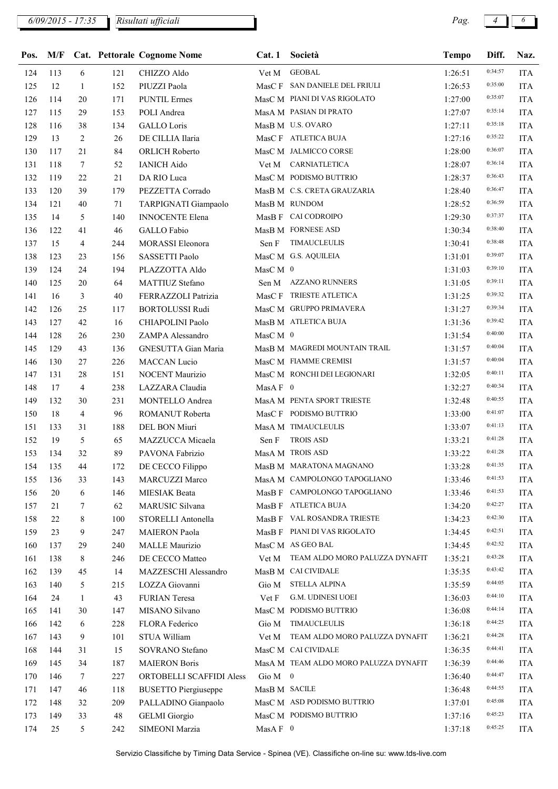| Pos. | M/F |                |     | <b>Cat. Pettorale Cognome Nome</b> | Cat.1                          | Società                               | <b>Tempo</b> | Diff.   | Naz.       |
|------|-----|----------------|-----|------------------------------------|--------------------------------|---------------------------------------|--------------|---------|------------|
| 124  | 113 | 6              | 121 | CHIZZO Aldo                        | Vet M                          | <b>GEOBAL</b>                         | 1:26:51      | 0:34:57 | <b>ITA</b> |
| 125  | 12  | $\mathbf{1}$   | 152 | PIUZZI Paola                       |                                | MasC F SAN DANIELE DEL FRIULI         | 1:26:53      | 0:35:00 | <b>ITA</b> |
| 126  | 114 | 20             | 171 | <b>PUNTIL Ermes</b>                |                                | MasC M PIANI DI VAS RIGOLATO          | 1:27:00      | 0:35:07 | <b>ITA</b> |
| 127  | 115 | 29             | 153 | POLI Andrea                        |                                | MasA M PASIAN DI PRATO                | 1:27:07      | 0:35:14 | <b>ITA</b> |
| 128  | 116 | 38             | 134 | <b>GALLO</b> Loris                 |                                | MasB M U.S. OVARO                     | 1:27:11      | 0:35:18 | <b>ITA</b> |
| 129  | 13  | 2              | 26  | DE CILLIA Ilaria                   |                                | MasC F ATLETICA BUJA                  | 1:27:16      | 0:35:22 | <b>ITA</b> |
| 130  | 117 | 21             | 84  | ORLICH Roberto                     |                                | MasC M JALMICCO CORSE                 | 1:28:00      | 0:36:07 | <b>ITA</b> |
| 131  | 118 | $\tau$         | 52  | <b>IANICH Aido</b>                 |                                | Vet M CARNIATLETICA                   | 1:28:07      | 0:36:14 | <b>ITA</b> |
| 132  | 119 | 22             | 21  | DA RIO Luca                        |                                | MasC M PODISMO BUTTRIO                | 1:28:37      | 0:36:43 | <b>ITA</b> |
| 133  | 120 | 39             | 179 | PEZZETTA Corrado                   |                                | MasB M C.S. CRETA GRAUZARIA           | 1:28:40      | 0:36:47 | <b>ITA</b> |
| 134  | 121 | 40             | 71  | TARPIGNATI Giampaolo               |                                | MasB M RUNDOM                         | 1:28:52      | 0:36:59 | <b>ITA</b> |
| 135  | 14  | 5              | 140 | <b>INNOCENTE Elena</b>             |                                | MasB F CAI CODROIPO                   | 1:29:30      | 0:37:37 | <b>ITA</b> |
| 136  | 122 | 41             | 46  | GALLO Fabio                        |                                | MasB M FORNESE ASD                    | 1:30:34      | 0:38:40 | <b>ITA</b> |
| 137  | 15  | 4              | 244 | <b>MORASSI</b> Eleonora            | Sen F                          | <b>TIMAUCLEULIS</b>                   | 1:30:41      | 0:38:48 | <b>ITA</b> |
| 138  | 123 | 23             | 156 | SASSETTI Paolo                     |                                | MasC M G.S. AQUILEIA                  | 1:31:01      | 0:39:07 | <b>ITA</b> |
| 139  | 124 | 24             | 194 | PLAZZOTTA Aldo                     | $\operatorname{MasC}$ M $\,$ 0 |                                       | 1:31:03      | 0:39:10 | <b>ITA</b> |
| 140  | 125 | 20             | 64  | MATTIUZ Stefano                    |                                | Sen M AZZANO RUNNERS                  | 1:31:05      | 0:39:11 | <b>ITA</b> |
| 141  | 16  | 3              | 40  | FERRAZZOLI Patrizia                |                                | MasC F TRIESTE ATLETICA               | 1:31:25      | 0:39:32 | <b>ITA</b> |
| 142  | 126 | 25             | 117 | <b>BORTOLUSSI Rudi</b>             |                                | MasC M GRUPPO PRIMAVERA               | 1:31:27      | 0:39:34 | <b>ITA</b> |
| 143  | 127 | 42             | 16  | CHIAPOLINI Paolo                   |                                | MasB M ATLETICA BUJA                  | 1:31:36      | 0:39:42 | <b>ITA</b> |
| 144  | 128 | 26             | 230 | ZAMPA Alessandro                   | MasC M 0                       |                                       | 1:31:54      | 0:40:00 | <b>ITA</b> |
| 145  | 129 | 43             | 136 | GNESUTTA Gian Maria                |                                | MasB M MAGREDI MOUNTAIN TRAIL         | 1:31:57      | 0:40:04 | <b>ITA</b> |
| 146  | 130 | 27             | 226 | MACCAN Lucio                       |                                | MasC M FIAMME CREMISI                 | 1:31:57      | 0:40:04 | <b>ITA</b> |
| 147  | 131 | 28             | 151 | NOCENT Maurizio                    |                                | MasC M RONCHI DEI LEGIONARI           | 1:32:05      | 0:40:11 | <b>ITA</b> |
| 148  | 17  | 4              | 238 | LAZZARA Claudia                    | MasA $F$ 0                     |                                       | 1:32:27      | 0:40:34 | <b>ITA</b> |
| 149  | 132 | 30             | 231 | MONTELLO Andrea                    |                                | MasA M PENTA SPORT TRIESTE            | 1:32:48      | 0:40:55 | <b>ITA</b> |
| 150  | 18  | $\overline{4}$ | 96  | ROMANUT Roberta                    |                                | MasC F PODISMO BUTTRIO                | 1:33:00      | 0:41:07 | <b>ITA</b> |
| 151  | 133 | 31             | 188 | DEL BON Miuri                      |                                | MasA M TIMAUCLEULIS                   | 1:33:07      | 0:41:13 | <b>ITA</b> |
| 152  | 19  | 5              | 65  | MAZZUCCA Micaela                   | Sen F                          | <b>TROIS ASD</b>                      | 1:33:21      | 0:41:28 | <b>ITA</b> |
| 153  | 134 | 32             | 89  | PAVONA Fabrizio                    |                                | MasA M TROIS ASD                      | 1:33:22      | 0:41:28 | <b>ITA</b> |
| 154  | 135 | 44             | 172 | DE CECCO Filippo                   |                                | MasB M MARATONA MAGNANO               | 1:33:28      | 0:41:35 | <b>ITA</b> |
| 155  | 136 | 33             | 143 | MARCUZZI Marco                     |                                | MasA M CAMPOLONGO TAPOGLIANO          | 1:33:46      | 0:41:53 | <b>ITA</b> |
| 156  | 20  | 6              | 146 | MIESIAK Beata                      |                                | MasB F CAMPOLONGO TAPOGLIANO          | 1:33:46      | 0:41:53 | <b>ITA</b> |
| 157  | 21  | 7              | 62  | MARUSIC Silvana                    |                                | MasB F ATLETICA BUJA                  | 1:34:20      | 0:42:27 | <b>ITA</b> |
| 158  | 22  | 8              | 100 | STORELLI Antonella                 |                                | MasB F VAL ROSANDRA TRIESTE           | 1:34:23      | 0:42:30 | <b>ITA</b> |
| 159  | 23  | 9              | 247 | <b>MAIERON</b> Paola               |                                | MasB F PIANI DI VAS RIGOLATO          | 1:34:45      | 0:42:51 | <b>ITA</b> |
| 160  | 137 | 29             | 240 | <b>MALLE</b> Maurizio              |                                | MasC M AS GEO BAL                     | 1:34:45      | 0:42:52 | <b>ITA</b> |
| 161  | 138 | 8              | 246 | DE CECCO Matteo                    |                                | Vet M TEAM ALDO MORO PALUZZA DYNAFIT  | 1:35:21      | 0:43:28 | <b>ITA</b> |
| 162  | 139 | 45             | 14  | MAZZESCHI Alessandro               |                                | MasB M CAI CIVIDALE                   | 1:35:35      | 0:43:42 | <b>ITA</b> |
| 163  | 140 | 5              | 215 | LOZZA Giovanni                     | Gio M                          | <b>STELLA ALPINA</b>                  | 1:35:59      | 0:44:05 | <b>ITA</b> |
| 164  | 24  | $\mathbf{1}$   | 43  | FURIAN Teresa                      | Vet F                          | G.M. UDINESI UOEI                     | 1:36:03      | 0:44:10 | <b>ITA</b> |
| 165  | 141 | 30             | 147 | MISANO Silvano                     |                                | MasC M PODISMO BUTTRIO                | 1:36:08      | 0:44:14 | <b>ITA</b> |
| 166  | 142 | 6              | 228 | FLORA Federico                     | Gio M                          | TIMAUCLEULIS                          | 1:36:18      | 0:44:25 | <b>ITA</b> |
| 167  | 143 | 9              | 101 | STUA William                       | Vet M                          | TEAM ALDO MORO PALUZZA DYNAFIT        | 1:36:21      | 0:44:28 | <b>ITA</b> |
| 168  | 144 | 31             | 15  | SOVRANO Stefano                    |                                | MasC M CAI CIVIDALE                   | 1:36:35      | 0:44:41 | <b>ITA</b> |
| 169  | 145 | 34             | 187 | <b>MAIERON Boris</b>               |                                | MasA M TEAM ALDO MORO PALUZZA DYNAFIT | 1:36:39      | 0:44:46 | <b>ITA</b> |
| 170  | 146 | $\tau$         | 227 | ORTOBELLI SCAFFIDI Aless           | Gio M 0                        |                                       | 1:36:40      | 0:44:47 | <b>ITA</b> |
| 171  | 147 | 46             | 118 | <b>BUSETTO Piergiuseppe</b>        | MasB M SACILE                  |                                       | 1:36:48      | 0:44:55 | <b>ITA</b> |
| 172  | 148 | 32             | 209 | PALLADINO Gianpaolo                |                                | MasC M ASD PODISMO BUTTRIO            | 1:37:01      | 0:45:08 | <b>ITA</b> |
| 173  | 149 | 33             | 48  | <b>GELMI</b> Giorgio               |                                | MasC M PODISMO BUTTRIO                | 1:37:16      | 0:45:23 | <b>ITA</b> |
| 174  | 25  | 5              | 242 | SIMEONI Marzia                     | MasA F 0                       |                                       | 1:37:18      | 0:45:25 | <b>ITA</b> |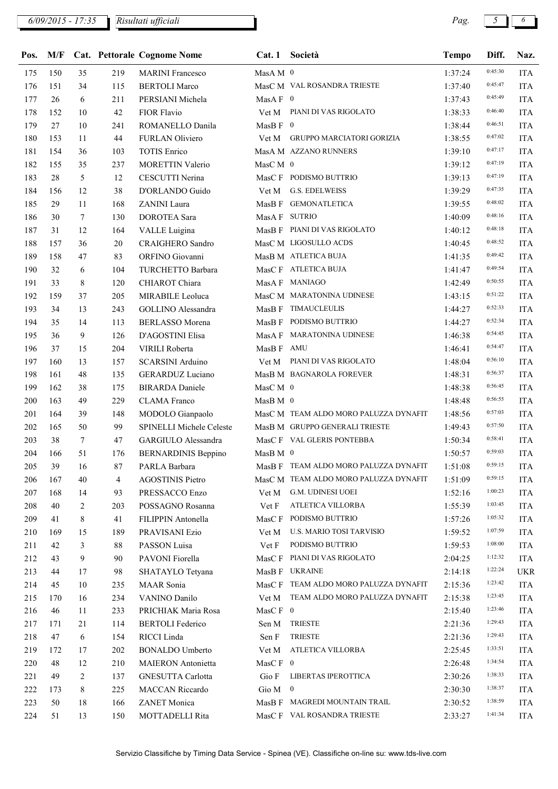| 176 | 151 | 34     | 115            | <b>BERTOLI</b> Marco       |                   | MasC M VAL ROSANDRA TRIESTE           | 1:37:40 | 0:45:47 | <b>ITA</b> |
|-----|-----|--------|----------------|----------------------------|-------------------|---------------------------------------|---------|---------|------------|
| 177 | 26  | 6      | 211            | PERSIANI Michela           | $MasAF$ 0         |                                       | 1:37:43 | 0:45:49 | <b>ITA</b> |
| 178 | 152 | 10     | 42             | FIOR Flavio                |                   | Vet M PIANI DI VAS RIGOLATO           | 1:38:33 | 0:46:40 | <b>ITA</b> |
| 179 | 27  | 10     | 241            | ROMANELLO Danila           |                   |                                       | 1:38:44 | 0:46:51 | <b>ITA</b> |
| 180 | 153 | 11     | 44             | FURLAN Oliviero            |                   | Vet M GRUPPO MARCIATORI GORIZIA       | 1:38:55 | 0:47:02 | <b>ITA</b> |
| 181 | 154 | 36     | 103            | <b>TOTIS Enrico</b>        |                   | MasA M AZZANO RUNNERS                 | 1:39:10 | 0:47:17 | <b>ITA</b> |
| 182 | 155 | 35     | 237            | <b>MORETTIN Valerio</b>    | MasC M $\,$ 0     |                                       | 1:39:12 | 0:47:19 | <b>ITA</b> |
| 183 | 28  | 5      | 12             | CESCUTTI Nerina            |                   | MasC F PODISMO BUTTRIO                | 1:39:13 | 0:47:19 | <b>ITA</b> |
| 184 | 156 | 12     | 38             | D'ORLANDO Guido            | Vet M             | <b>G.S. EDELWEISS</b>                 | 1:39:29 | 0:47:35 | <b>ITA</b> |
| 185 | 29  | 11     | 168            | ZANINI Laura               |                   | MasB F GEMONATLETICA                  | 1:39:55 | 0:48:02 | <b>ITA</b> |
| 186 | 30  | $\tau$ | 130            | DOROTEA Sara               | MasA F SUTRIO     |                                       | 1:40:09 | 0:48:16 | <b>ITA</b> |
| 187 | 31  | 12     | 164            | VALLE Luigina              |                   | MasB F PIANI DI VAS RIGOLATO          | 1:40:12 | 0:48:18 | <b>ITA</b> |
| 188 | 157 | 36     | 20             | CRAIGHERO Sandro           |                   | MasC M LIGOSULLO ACDS                 | 1:40:45 | 0:48:52 | <b>ITA</b> |
| 189 | 158 | 47     | 83             | ORFINO Giovanni            |                   | MasB M ATLETICA BUJA                  | 1:41:35 | 0:49:42 | <b>ITA</b> |
| 190 | 32  | 6      | 104            | TURCHETTO Barbara          |                   | MasC F ATLETICA BUJA                  | 1:41:47 | 0:49:54 | <b>ITA</b> |
| 191 | 33  | 8      | 120            | CHIAROT Chiara             |                   | MasA F MANIAGO                        | 1:42:49 | 0:50:55 | <b>ITA</b> |
| 192 | 159 | 37     | 205            | MIRABILE Leoluca           |                   | MasC M MARATONINA UDINESE             | 1:43:15 | 0:51:22 | <b>ITA</b> |
| 193 | 34  | 13     | 243            | GOLLINO Alessandra         | MasB F            | TIMAUCLEULIS                          | 1:44:27 | 0:52:33 | <b>ITA</b> |
| 194 | 35  | 14     | 113            | <b>BERLASSO</b> Morena     |                   | MasB F PODISMO BUTTRIO                | 1:44:27 | 0:52:34 | <b>ITA</b> |
| 195 | 36  | 9      | 126            | D'AGOSTINI Elisa           |                   | MasA F MARATONINA UDINESE             | 1:46:38 | 0:54:45 | <b>ITA</b> |
| 196 | 37  | 15     | 204            | VIRILI Roberta             | MasB F AMU        |                                       | 1:46:41 | 0:54:47 | <b>ITA</b> |
| 197 | 160 | 13     | 157            | SCARSINI Arduino           |                   | Vet M PIANI DI VAS RIGOLATO           | 1:48:04 | 0:56:10 | <b>ITA</b> |
| 198 | 161 | 48     | 135            | GERARDUZ Luciano           |                   | MasB M BAGNAROLA FOREVER              | 1:48:31 | 0:56:37 | <b>ITA</b> |
| 199 | 162 | 38     | 175            | <b>BIRARDA</b> Daniele     | $\rm MacC~M~$ $0$ |                                       | 1:48:38 | 0:56:45 | <b>ITA</b> |
| 200 | 163 | 49     | 229            | <b>CLAMA</b> Franco        | $MasB M$ 0        |                                       | 1:48:48 | 0:56:55 | <b>ITA</b> |
| 201 | 164 | 39     | 148            | MODOLO Gianpaolo           |                   | MasC M TEAM ALDO MORO PALUZZA DYNAFIT | 1:48:56 | 0:57:03 | <b>ITA</b> |
| 202 | 165 | 50     | 99             | SPINELLI Michele Celeste   |                   | MasB M GRUPPO GENERALI TRIESTE        | 1:49:43 | 0:57:50 | <b>ITA</b> |
| 203 | 38  | $\tau$ | 47             | GARGIULO Alessandra        |                   | MasC F VAL GLERIS PONTEBBA            | 1:50:34 | 0:58:41 | <b>ITA</b> |
| 204 | 166 | 51     | 176            | <b>BERNARDINIS Beppino</b> | MasB M 0          |                                       | 1:50:57 | 0:59:03 | <b>ITA</b> |
| 205 | 39  | 16     | 87             | PARLA Barbara              |                   | MasB F TEAM ALDO MORO PALUZZA DYNAFIT | 1:51:08 | 0:59:15 | <b>ITA</b> |
| 206 | 167 | 40     | $\overline{4}$ | <b>AGOSTINIS Pietro</b>    |                   | MasC M TEAM ALDO MORO PALUZZA DYNAFIT | 1:51:09 | 0:59:15 | <b>ITA</b> |
| 207 | 168 | 14     | 93             | PRESSACCO Enzo             |                   | Vet M G.M. UDINESI UOEI               | 1:52:16 | 1:00:23 | <b>ITA</b> |
| 208 | 40  | 2      | 203            | POSSAGNO Rosanna           | Vet F             | ATLETICA VILLORBA                     | 1:55:39 | 1:03:45 | <b>ITA</b> |
| 209 | 41  | 8      | 41             | FILIPPIN Antonella         | MasC F            | PODISMO BUTTRIO                       | 1:57:26 | 1:05:32 | <b>ITA</b> |
| 210 | 169 | 15     | 189            | PRAVISANI Ezio             | Vet M             | U.S. MARIO TOSI TARVISIO              | 1:59:52 | 1:07:59 | ITA        |
| 211 | 42  | 3      | 88             | PASSON Luisa               | Vet F             | PODISMO BUTTRIO                       | 1:59:53 | 1:08:00 | <b>ITA</b> |
| 212 | 43  | 9      | 90             | PAVONI Fiorella            | MasC F            | PIANI DI VAS RIGOLATO                 | 2:04:25 | 1:12:32 | <b>ITA</b> |
| 213 | 44  | 17     | 98             | SHATAYLO Tetyana           | MasB F            | <b>UKRAINE</b>                        | 2:14:18 | 1:22:24 | <b>UKR</b> |
| 214 | 45  | 10     | 235            | MAAR Sonia                 | MasC F            | TEAM ALDO MORO PALUZZA DYNAFIT        | 2:15:36 | 1:23:42 | <b>ITA</b> |
| 215 | 170 | 16     | 234            | VANINO Danilo              | Vet M             | TEAM ALDO MORO PALUZZA DYNAFIT        | 2:15:38 | 1:23:45 | <b>ITA</b> |
| 216 | 46  | 11     | 233            | PRICHIAK Maria Rosa        | MasC $\rm F$ 0    |                                       | 2:15:40 | 1:23:46 | ITA        |
| 217 | 171 | 21     | 114            | <b>BERTOLI</b> Federico    | Sen M             | <b>TRIESTE</b>                        | 2:21:36 | 1:29:43 | <b>ITA</b> |
| 218 | 47  | 6      | 154            | RICCI Linda                | Sen F             | <b>TRIESTE</b>                        | 2:21:36 | 1:29:43 | <b>ITA</b> |
| 219 | 172 | 17     | 202            | <b>BONALDO Umberto</b>     | Vet M             | ATLETICA VILLORBA                     | 2:25:45 | 1:33:51 | <b>ITA</b> |
| 220 | 48  | 12     | 210            | <b>MAIERON</b> Antonietta  | MasC $F \ 0$      |                                       | 2:26:48 | 1:34:54 | <b>ITA</b> |
| 221 | 49  | 2      | 137            | GNESUTTA Carlotta          | Gio F             | LIBERTAS IPEROTTICA                   | 2:30:26 | 1:38:33 | <b>ITA</b> |
| 222 | 173 | 8      | 225            | MACCAN Riccardo            | Gio $M \quad 0$   |                                       | 2:30:30 | 1:38:37 | ITA        |
| 223 | 50  | 18     | 166            | ZANET Monica               |                   | MasB F MAGREDI MOUNTAIN TRAIL         | 2:30:52 | 1:38:59 | <b>ITA</b> |
| 224 | 51  | 13     | 150            | MOTTADELLI Rita            |                   | MasC F VAL ROSANDRA TRIESTE           | 2:33:27 | 1:41:34 | ITA        |

Pos. M/F Cat. Pettorale Cognome Nome Cat. 1 Società Tempo Diff. Naz.

175 150 35 219 MARINI Francesco MasA M 0 1:37:24 0:45:30 ITA